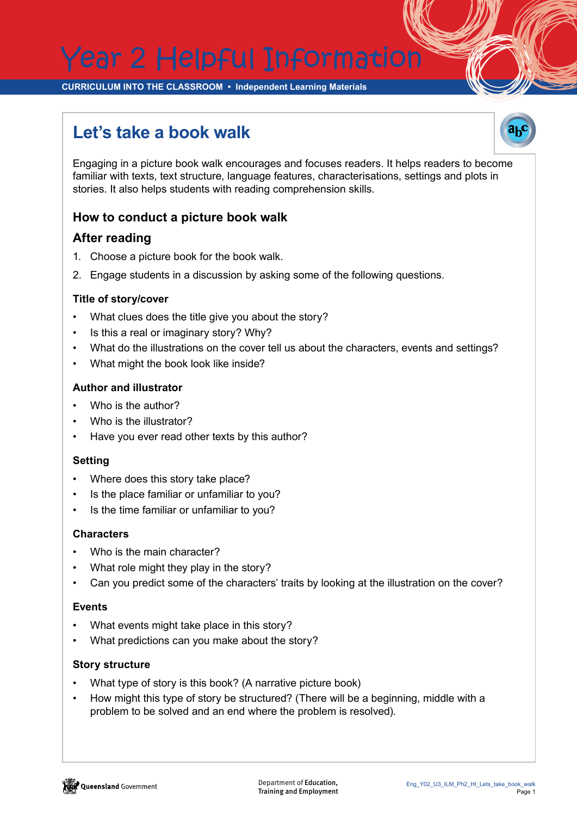Year 2 Helpful Information

**CURRICULUM INTO THE CLASSROOM • Independent Learning Materials**

# **Let's take a book walk**



Engaging in a picture book walk encourages and focuses readers. It helps readers to become familiar with texts, text structure, language features, characterisations, settings and plots in stories. It also helps students with reading comprehension skills.

# **How to conduct a picture book walk**

## **After reading**

- 1. Choose a picture book for the book walk.
- 2. Engage students in a discussion by asking some of the following questions.

#### **Title of story/cover**

- What clues does the title give you about the story?
- Is this a real or imaginary story? Why?
- What do the illustrations on the cover tell us about the characters, events and settings?
- What might the book look like inside?

#### **Author and illustrator**

- Who is the author?
- Who is the illustrator?
- Have you ever read other texts by this author?

#### **Setting**

- Where does this story take place?
- Is the place familiar or unfamiliar to you?
- Is the time familiar or unfamiliar to you?

#### **Characters**

- Who is the main character?
- What role might they play in the story?
- Can you predict some of the characters' traits by looking at the illustration on the cover?

#### **Events**

- What events might take place in this story?
- What predictions can you make about the story?

#### **Story structure**

- What type of story is this book? (A narrative picture book)
- How might this type of story be structured? (There will be a beginning, middle with a problem to be solved and an end where the problem is resolved).